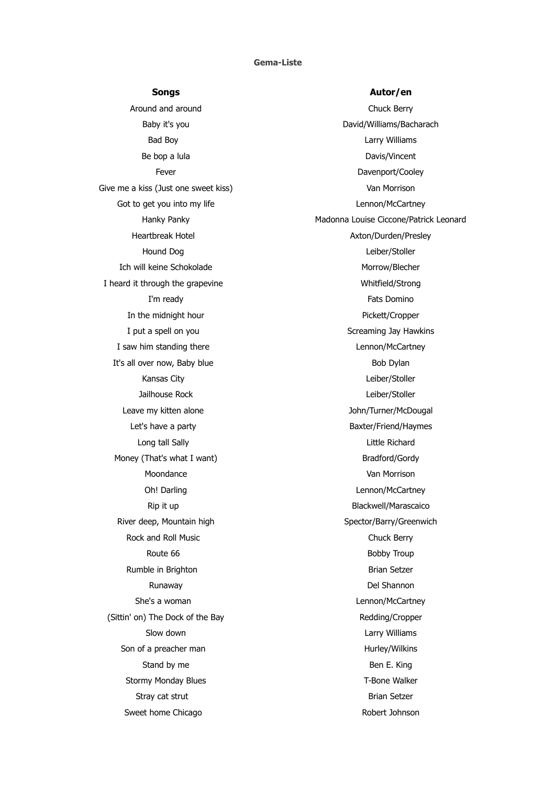## **Gema-Liste**

Around and around **Chuck Berry** Be bop a lula Davis/Vincent Give me a kiss (Just one sweet kiss) Van Morrison Got to get you into my life and the control of the Lennon/McCartney Hound Dog Leiber/Stoller Ich will keine Schokolade Morrow/Blecher I heard it through the grapevine Whitfield/Strong In the midnight hour example of the midnight hour example of the Pickett/Cropper I saw him standing there **Lennon** Cartney It's all over now, Baby blue Bob Dylan Kansas City **Leiber/Stoller** Jailhouse Rock **Leiber/Stoller** Leave my kitten alone and the state of the John/Turner/McDougal Long tall Sally **Little Richard** Money (That's what I want) Bradford/Gordy Moondance Van Morrison River deep, Mountain high Spector/Barry/Greenwich Rock and Roll Music **Chuck Berry** Chuck Berry Rumble in Brighton **Brian Setzer** Brian Setzer She's a woman **Lennon/McCartney** (Sittin' on) The Dock of the Bay Redding/Cropper Son of a preacher man Hurley/Wilkins Stand by me Ben E. King Stormy Monday Blues T-Bone Walker Stray cat strut **Brian Setzer** Brian Setzer Sweet home Chicago **Robert Johnson** Robert Johnson

## **Songs Autor/en**

Baby it's you **David/Williams/Bacharach** Bad Boy **Larry Williams** Fever **Fever Example 2018** The Davenport/Cooley Hanky Panky Madonna Louise Ciccone/Patrick Leonard Heartbreak Hotel **Axton/Durden/Presley** I'm ready **Fats** Domino I put a spell on you states and the Screaming Jay Hawkins Let's have a party and the state of the Baxter/Friend/Haymes Oh! Darling and the contract of the contract of the Lennon/McCartney Rip it up and the state of the Blackwell/Marascaico Route 66 Bobby Troup Runaway **Del Shannon** Slow down **Larry Williams**